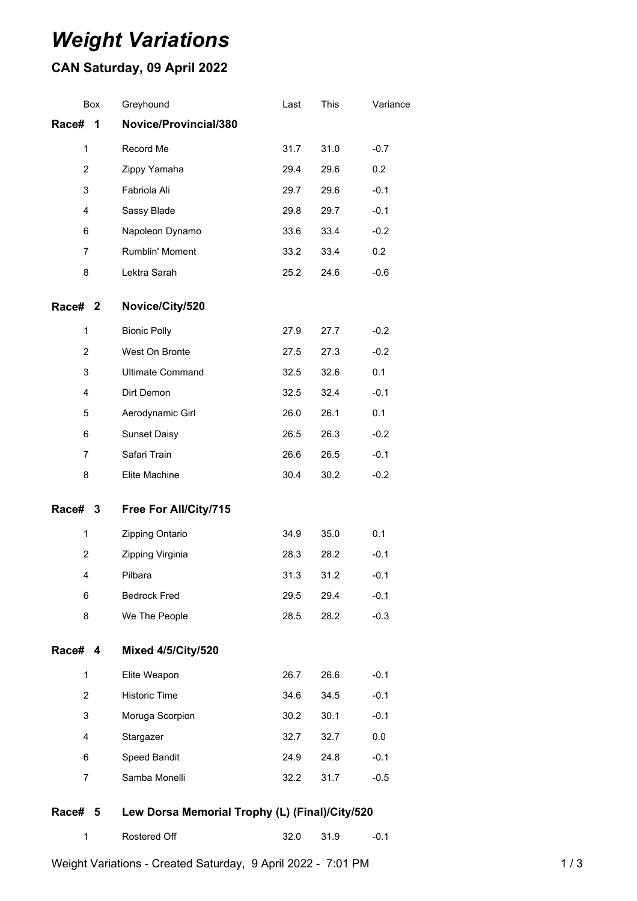# *Weight Variations*

## **CAN Saturday, 09 April 2022**

|                          | Box | Greyhound                 | Last | This | Variance |
|--------------------------|-----|---------------------------|------|------|----------|
| Race#                    | 1   | Novice/Provincial/380     |      |      |          |
| $\mathbf{1}$             |     | Record Me                 | 31.7 | 31.0 | $-0.7$   |
| $\overline{2}$<br>3<br>4 |     | Zippy Yamaha              | 29.4 | 29.6 | 0.2      |
|                          |     | Fabriola Ali              | 29.7 | 29.6 | $-0.1$   |
|                          |     | Sassy Blade               | 29.8 | 29.7 | $-0.1$   |
| 6                        |     | Napoleon Dynamo           | 33.6 | 33.4 | $-0.2$   |
| $\overline{7}$           |     | Rumblin' Moment           | 33.2 | 33.4 | 0.2      |
| 8                        |     | Lektra Sarah              | 25.2 | 24.6 | $-0.6$   |
| Race# 2                  |     | Novice/City/520           |      |      |          |
| $\mathbf{1}$             |     | <b>Bionic Polly</b>       | 27.9 | 27.7 | $-0.2$   |
| $\overline{c}$           |     | West On Bronte            | 27.5 | 27.3 | $-0.2$   |
| 3                        |     | <b>Ultimate Command</b>   | 32.5 | 32.6 | 0.1      |
| $\overline{4}$           |     | Dirt Demon                | 32.5 | 32.4 | $-0.1$   |
| 5                        |     | Aerodynamic Girl          | 26.0 | 26.1 | 0.1      |
| 6                        |     | <b>Sunset Daisy</b>       | 26.5 | 26.3 | $-0.2$   |
| $\overline{7}$           |     | Safari Train              | 26.6 | 26.5 | $-0.1$   |
| 8                        |     | Elite Machine             | 30.4 | 30.2 | $-0.2$   |
| Race# 3                  |     | Free For All/City/715     |      |      |          |
| $\mathbf{1}$             |     | Zipping Ontario           | 34.9 | 35.0 | 0.1      |
| $\overline{2}$           |     | Zipping Virginia          | 28.3 | 28.2 | $-0.1$   |
| 4<br>6                   |     | Pilbara                   | 31.3 | 31.2 | $-0.1$   |
|                          |     | <b>Bedrock Fred</b>       | 29.5 | 29.4 | $-0.1$   |
| 8                        |     | We The People             | 28.5 | 28.2 | $-0.3$   |
| Race# 4                  |     | <b>Mixed 4/5/City/520</b> |      |      |          |
| $\mathbf{1}$             |     | Elite Weapon              | 26.7 | 26.6 | $-0.1$   |
| $\overline{2}$           |     | <b>Historic Time</b>      | 34.6 | 34.5 | $-0.1$   |
| 3                        |     | Moruga Scorpion           | 30.2 | 30.1 | $-0.1$   |
| 4                        |     | Stargazer                 | 32.7 | 32.7 | 0.0      |
| 6                        |     | Speed Bandit              | 24.9 | 24.8 | $-0.1$   |
| $\overline{7}$           |     | Samba Monelli             | 32.2 | 31.7 | $-0.5$   |
|                          |     |                           |      |      |          |

#### **Race# 5 Lew Dorsa Memorial Trophy (L) (Final)/City/520**

Rostered Off 32.0 31.9 -0.1

Weight Variations - Created Saturday, 9 April 2022 - 7:01 PM 1 1 1 1 1 1 1 1 3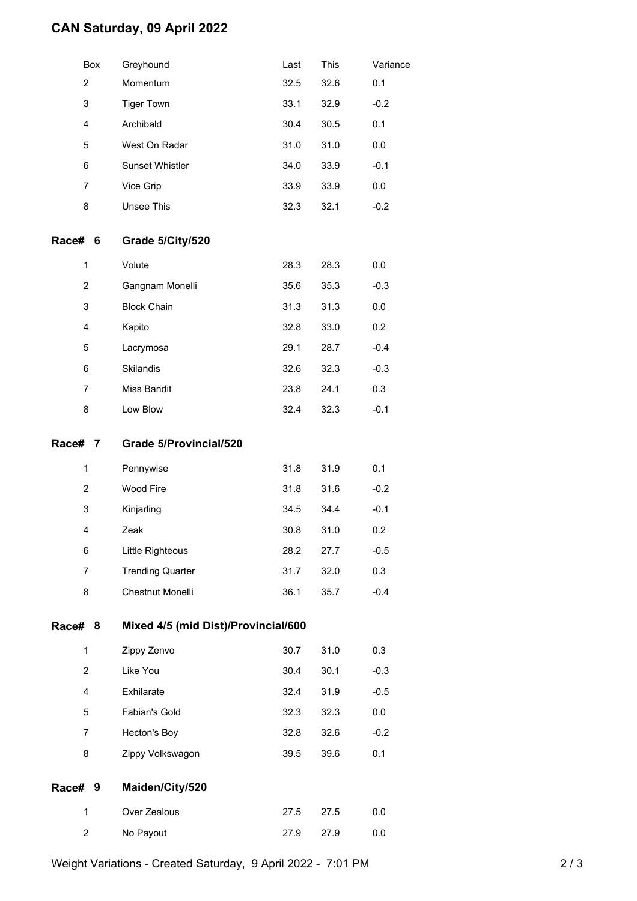## **CAN Saturday, 09 April 2022**

|         | Box                                            | Greyhound                     | Last | This | Variance |  |  |
|---------|------------------------------------------------|-------------------------------|------|------|----------|--|--|
|         | $\overline{2}$                                 | Momentum                      | 32.5 | 32.6 | 0.1      |  |  |
|         | 3                                              | <b>Tiger Town</b>             | 33.1 | 32.9 | $-0.2$   |  |  |
|         | 4                                              | Archibald                     | 30.4 | 30.5 | 0.1      |  |  |
|         | 5                                              | West On Radar                 | 31.0 | 31.0 | 0.0      |  |  |
|         | 6                                              | Sunset Whistler               | 34.0 | 33.9 | $-0.1$   |  |  |
|         | 7                                              | Vice Grip                     | 33.9 | 33.9 | 0.0      |  |  |
|         | 8                                              | Unsee This                    | 32.3 | 32.1 | $-0.2$   |  |  |
| Race#   | 6                                              | Grade 5/City/520              |      |      |          |  |  |
|         | 1                                              | Volute                        | 28.3 | 28.3 | 0.0      |  |  |
|         | $\overline{2}$                                 | Gangnam Monelli               | 35.6 | 35.3 | $-0.3$   |  |  |
|         | 3                                              | <b>Block Chain</b>            | 31.3 | 31.3 | 0.0      |  |  |
|         | 4                                              | Kapito                        | 32.8 | 33.0 | 0.2      |  |  |
|         | 5                                              | Lacrymosa                     | 29.1 | 28.7 | $-0.4$   |  |  |
|         | 6                                              | <b>Skilandis</b>              | 32.6 | 32.3 | $-0.3$   |  |  |
|         | 7                                              | Miss Bandit                   | 23.8 | 24.1 | 0.3      |  |  |
|         | 8                                              | Low Blow                      | 32.4 | 32.3 | $-0.1$   |  |  |
| Race#   | 7                                              | <b>Grade 5/Provincial/520</b> |      |      |          |  |  |
|         | $\mathbf{1}$                                   | Pennywise                     | 31.8 | 31.9 | 0.1      |  |  |
|         | $\overline{2}$                                 | Wood Fire                     | 31.8 | 31.6 | $-0.2$   |  |  |
|         | 3                                              | Kinjarling                    | 34.5 | 34.4 | $-0.1$   |  |  |
|         | 4                                              | Zeak                          | 30.8 | 31.0 | 0.2      |  |  |
|         | 6                                              | Little Righteous              | 28.2 | 27.7 | $-0.5$   |  |  |
|         | 7                                              | <b>Trending Quarter</b>       | 31.7 | 32.0 | 0.3      |  |  |
|         | 8                                              | Chestnut Monelli              | 36.1 | 35.7 | $-0.4$   |  |  |
|         | Mixed 4/5 (mid Dist)/Provincial/600<br>Race# 8 |                               |      |      |          |  |  |
|         | 1                                              | Zippy Zenvo                   | 30.7 | 31.0 | 0.3      |  |  |
|         | $\overline{2}$                                 | Like You                      | 30.4 | 30.1 | $-0.3$   |  |  |
|         | $\overline{4}$                                 | Exhilarate                    | 32.4 | 31.9 | $-0.5$   |  |  |
|         | 5                                              | Fabian's Gold                 | 32.3 | 32.3 | 0.0      |  |  |
|         | 7                                              | Hecton's Boy                  | 32.8 | 32.6 | $-0.2$   |  |  |
|         | 8                                              | Zippy Volkswagon              | 39.5 | 39.6 | 0.1      |  |  |
| Race# 9 |                                                | Maiden/City/520               |      |      |          |  |  |
|         | 1                                              | Over Zealous                  | 27.5 | 27.5 | 0.0      |  |  |
|         | $\overline{2}$                                 | No Payout                     | 27.9 | 27.9 | 0.0      |  |  |
|         |                                                |                               |      |      |          |  |  |

Weight Variations - Created Saturday, 9 April 2022 - 7:01 PM 2/3